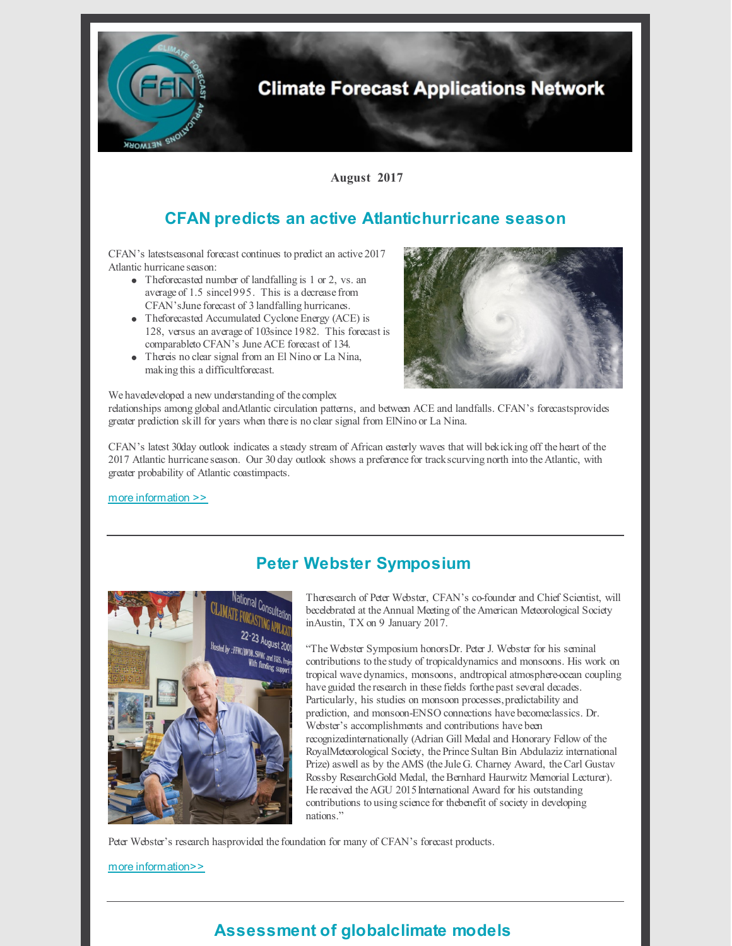

# **CFAN predicts an active Atlantichurricane season**

CFAN's latestseasonal forecast continues topredict an active2017 Atlantic hurricane season:

- Theforecasted number of landfalling is 1 or 2, vs. an averageof 1.5 since1995. This is a decrease from CFAN's June forecast of 3 landfalling hurricanes.
- Theforecasted Accumulated Cyclone Energy (ACE) is 128, versus an average of 103since 1982. This forecast is comparableto CFAN's June ACE forecast of 134.
- Thereis no clear signal from an El Nino or La Nina, makingthis a difficultforecast.



We havedeveloped a new understanding of the complex

relationships amongglobal andAtlantic circulation patterns, and between ACE and landfalls. CFAN's forecastsprovides greater prediction skill for years when there is noclear signal from ElNinoor La Nina.

CFAN's latest 30day outlook indicates a steady stream of African easterly waves that will bekickingoff theheart of the 2017 Atlantic hurricane season. Our 30day outlook shows a preference for trackscurvingnorth intothe Atlantic, with greater probability of Atlantic coastimpacts.

more [information](https://www.cfanclimate.net/single-post/2017/08/08/CFAN-continues-to-predict-an-active-2017-hurricane-season) >>



### **Peter Webster Symposium**

Theresearch of Peter Webster, CFAN's co-founder and Chief Scientist, will becelebrated at the Annual Meeting of the American Meteorological Society inAustin, TX on 9 January 2017.

"TheWebster Symposium honorsDr. Peter J. Webster for his seminal contributions to the study of tropicaldynamics and monsoons. His work on tropical wavedynamics, monsoons, andtropical atmosphere-ocean coupling have guided the research in these fields forthe past several decades. Particularly, his studies on monsoon processes,predictability and prediction, and monsoon-ENSO connections havebecomeclassics. Dr. Webster's accomplishments and contributions have been recognizedinternationally (Adrian Gill Medal and Honorary Fellow of the RoyalMeteorological Society, the Prince Sultan Bin Abdulaziz international Prize) aswell as by the AMS (the Jule G. Charney Award, theCarl Gustav Rossby ResearchGold Medal, the Bernhard Haurwitz Memorial Lecturer). He received the AGU 2015 International Award for his outstanding contributions to using science for the benefit of society in developing nations."

Peter Webster's research hasprovided the foundation for many of CFAN's forecast products.

#### [m](https://annual.ametsoc.org/2018/index.cfm/programs/conferences-and-symposia/peter-j-webster-symposium/?utm_content=buffer59ae1&utm_medium=social&utm_source=twitter.com&utm_campaign=buffer)ore [information>>](https://annual.ametsoc.org/2018/index.cfm/programs/conferences-and-symposia/peter-j-webster-symposium/?utm_content=buffer59ae1&utm_medium=social&utm_source=twitter.com&utm_campaign=buffer)

## **Assessment of globalclimate models**